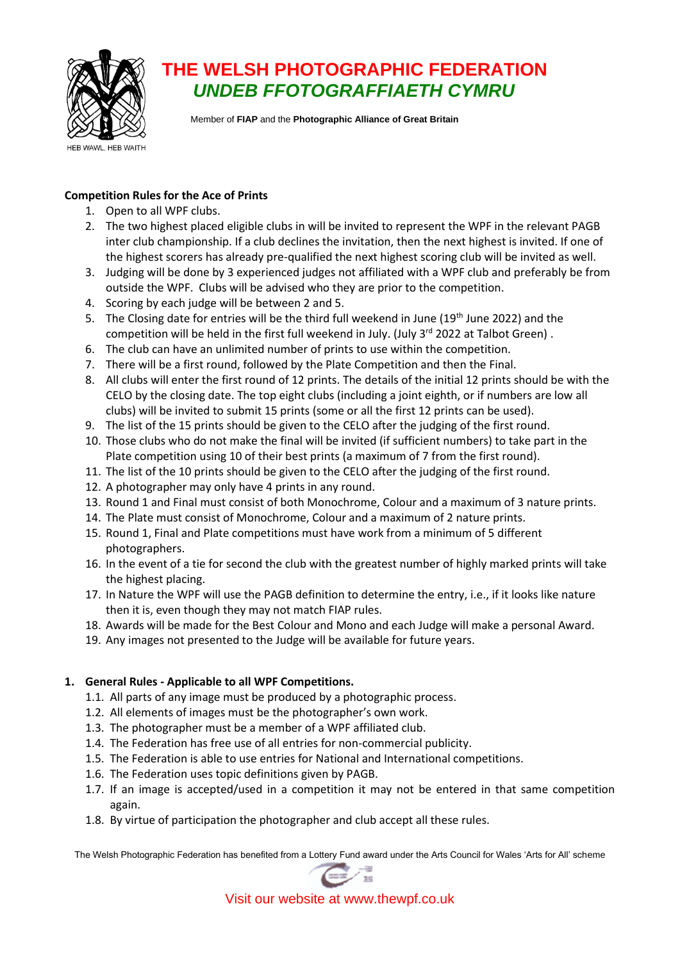

# **THE WELSH PHOTOGRAPHIC FEDERATION** *UNDEB FFOTOGRAFFIAETH CYMRU*

Member of **FIAP** and the **Photographic Alliance of Great Britain**

## **Competition Rules for the Ace of Prints**

- 1. Open to all WPF clubs.
- 2. The two highest placed eligible clubs in will be invited to represent the WPF in the relevant PAGB inter club championship. If a club declines the invitation, then the next highest is invited. If one of the highest scorers has already pre-qualified the next highest scoring club will be invited as well.
- 3. Judging will be done by 3 experienced judges not affiliated with a WPF club and preferably be from outside the WPF. Clubs will be advised who they are prior to the competition.
- 4. Scoring by each judge will be between 2 and 5.
- 5. The Closing date for entries will be the third full weekend in June (19<sup>th</sup> June 2022) and the competition will be held in the first full weekend in July. (July 3<sup>rd</sup> 2022 at Talbot Green).
- 6. The club can have an unlimited number of prints to use within the competition.
- 7. There will be a first round, followed by the Plate Competition and then the Final.
- 8. All clubs will enter the first round of 12 prints. The details of the initial 12 prints should be with the CELO by the closing date. The top eight clubs (including a joint eighth, or if numbers are low all clubs) will be invited to submit 15 prints (some or all the first 12 prints can be used).
- 9. The list of the 15 prints should be given to the CELO after the judging of the first round.
- 10. Those clubs who do not make the final will be invited (if sufficient numbers) to take part in the Plate competition using 10 of their best prints (a maximum of 7 from the first round).
- 11. The list of the 10 prints should be given to the CELO after the judging of the first round.
- 12. A photographer may only have 4 prints in any round.
- 13. Round 1 and Final must consist of both Monochrome, Colour and a maximum of 3 nature prints.
- 14. The Plate must consist of Monochrome, Colour and a maximum of 2 nature prints.
- 15. Round 1, Final and Plate competitions must have work from a minimum of 5 different photographers.
- 16. In the event of a tie for second the club with the greatest number of highly marked prints will take the highest placing.
- 17. In Nature the WPF will use the PAGB definition to determine the entry, i.e., if it looks like nature then it is, even though they may not match FIAP rules.
- 18. Awards will be made for the Best Colour and Mono and each Judge will make a personal Award.
- 19. Any images not presented to the Judge will be available for future years.

## **1. General Rules - Applicable to all WPF Competitions.**

- 1.1. All parts of any image must be produced by a photographic process.
- 1.2. All elements of images must be the photographer's own work.
- 1.3. The photographer must be a member of a WPF affiliated club.
- 1.4. The Federation has free use of all entries for non-commercial publicity.
- 1.5. The Federation is able to use entries for National and International competitions.
- 1.6. The Federation uses topic definitions given by PAGB.
- 1.7. If an image is accepted/used in a competition it may not be entered in that same competition again.
- 1.8. By virtue of participation the photographer and club accept all these rules.

The Welsh Photographic Federation has benefited from a Lottery Fund award under the Arts Council for Wales 'Arts for All' scheme



Visit our website at www.thewpf.co.uk